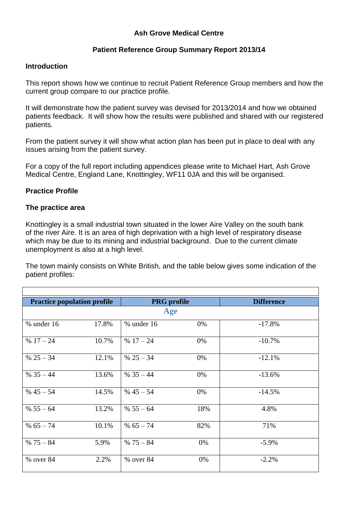## **Ash Grove Medical Centre**

## **Patient Reference Group Summary Report 2013/14**

#### **Introduction**

This report shows how we continue to recruit Patient Reference Group members and how the current group compare to our practice profile.

It will demonstrate how the patient survey was devised for 2013/2014 and how we obtained patients feedback. It will show how the results were published and shared with our registered patients.

From the patient survey it will show what action plan has been put in place to deal with any issues arising from the patient survey.

For a copy of the full report including appendices please write to Michael Hart, Ash Grove Medical Centre, England Lane, Knottingley, WF11 0JA and this will be organised.

## **Practice Profile**

## **The practice area**

Knottingley is a small industrial town situated in the lower Aire Valley on the south bank of the river Aire. It is an area of high deprivation with a high level of respiratory disease which may be due to its mining and industrial background. Due to the current climate unemployment is also at a high level.

The town mainly consists on White British, and the table below gives some indication of the patient profiles:

| <b>Practice population profile</b> |       | <b>PRG</b> profile |     | <b>Difference</b> |  |  |  |
|------------------------------------|-------|--------------------|-----|-------------------|--|--|--|
| Age                                |       |                    |     |                   |  |  |  |
| $%$ under 16                       | 17.8% | $%$ under 16       | 0%  | $-17.8%$          |  |  |  |
| $% 17 - 24$                        | 10.7% | $% 17 - 24$        | 0%  | $-10.7%$          |  |  |  |
| % $25 - 34$                        | 12.1% | % $25 - 34$        | 0%  | $-12.1%$          |  |  |  |
| $% 35 - 44$                        | 13.6% | $% 35 - 44$        | 0%  | $-13.6%$          |  |  |  |
| $% 45 - 54$                        | 14.5% | $% 45 - 54$        | 0%  | $-14.5%$          |  |  |  |
| % $55 - 64$                        | 13.2% | $% 55 - 64$        | 18% | 4.8%              |  |  |  |
| % $65 - 74$                        | 10.1% | % $65 - 74$        | 82% | 71%               |  |  |  |
| $% 75 - 84$                        | 5.9%  | $% 75 - 84$        | 0%  | $-5.9\%$          |  |  |  |
| % over 84                          | 2.2%  | % over 84          | 0%  | $-2.2%$           |  |  |  |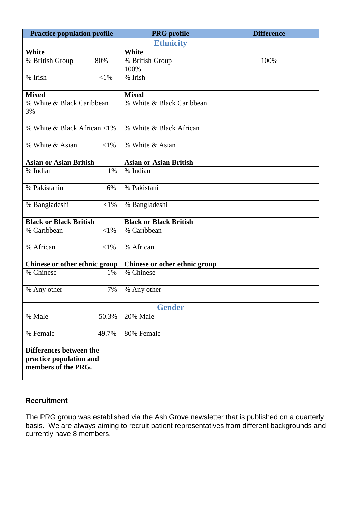| <b>Practice population profile</b>                                        | <b>PRG</b> profile            | <b>Difference</b> |  |  |
|---------------------------------------------------------------------------|-------------------------------|-------------------|--|--|
| <b>Ethnicity</b>                                                          |                               |                   |  |  |
| White                                                                     | White                         |                   |  |  |
| % British Group<br>80%                                                    | % British Group               | 100%              |  |  |
|                                                                           | 100%                          |                   |  |  |
| $\overline{\frac{9}{6}}$ Irish<br>$< 1\%$                                 | % Irish                       |                   |  |  |
| <b>Mixed</b>                                                              | <b>Mixed</b>                  |                   |  |  |
| % White & Black Caribbean<br>3%                                           | % White & Black Caribbean     |                   |  |  |
| % White & Black African <1%                                               | % White & Black African       |                   |  |  |
| % White & Asian<br>${<}1\%$                                               | % White & Asian               |                   |  |  |
| <b>Asian or Asian British</b>                                             | <b>Asian or Asian British</b> |                   |  |  |
| % Indian<br>1%                                                            | % Indian                      |                   |  |  |
| % Pakistanin<br>6%                                                        | % Pakistani                   |                   |  |  |
| % Bangladeshi<br>$<$ 1%                                                   | % Bangladeshi                 |                   |  |  |
| <b>Black or Black British</b>                                             | <b>Black or Black British</b> |                   |  |  |
| % Caribbean<br>$<$ 1%                                                     | % Caribbean                   |                   |  |  |
| % African<br>$<$ 1%                                                       | % African                     |                   |  |  |
| Chinese or other ethnic group                                             | Chinese or other ethnic group |                   |  |  |
| % Chinese<br>1%                                                           | % Chinese                     |                   |  |  |
| 7%<br>% Any other                                                         | % Any other                   |                   |  |  |
| <b>Gender</b>                                                             |                               |                   |  |  |
| % Male<br>50.3%                                                           | 20% Male                      |                   |  |  |
| % Female<br>49.7%                                                         | 80% Female                    |                   |  |  |
| Differences between the<br>practice population and<br>members of the PRG. |                               |                   |  |  |

# **Recruitment**

The PRG group was established via the Ash Grove newsletter that is published on a quarterly basis. We are always aiming to recruit patient representatives from different backgrounds and currently have 8 members.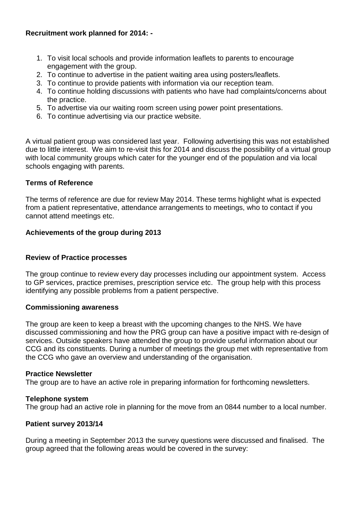## **Recruitment work planned for 2014: -**

- 1. To visit local schools and provide information leaflets to parents to encourage engagement with the group.
- 2. To continue to advertise in the patient waiting area using posters/leaflets.
- 3. To continue to provide patients with information via our reception team.
- 4. To continue holding discussions with patients who have had complaints/concerns about the practice.
- 5. To advertise via our waiting room screen using power point presentations.
- 6. To continue advertising via our practice website.

A virtual patient group was considered last year. Following advertising this was not established due to little interest. We aim to re-visit this for 2014 and discuss the possibility of a virtual group with local community groups which cater for the younger end of the population and via local schools engaging with parents.

## **Terms of Reference**

The terms of reference are due for review May 2014. These terms highlight what is expected from a patient representative, attendance arrangements to meetings, who to contact if you cannot attend meetings etc.

## **Achievements of the group during 2013**

## **Review of Practice processes**

The group continue to review every day processes including our appointment system. Access to GP services, practice premises, prescription service etc. The group help with this process identifying any possible problems from a patient perspective.

## **Commissioning awareness**

The group are keen to keep a breast with the upcoming changes to the NHS. We have discussed commissioning and how the PRG group can have a positive impact with re-design of services. Outside speakers have attended the group to provide useful information about our CCG and its constituents. During a number of meetings the group met with representative from the CCG who gave an overview and understanding of the organisation.

## **Practice Newsletter**

The group are to have an active role in preparing information for forthcoming newsletters.

## **Telephone system**

The group had an active role in planning for the move from an 0844 number to a local number.

## **Patient survey 2013/14**

During a meeting in September 2013 the survey questions were discussed and finalised. The group agreed that the following areas would be covered in the survey: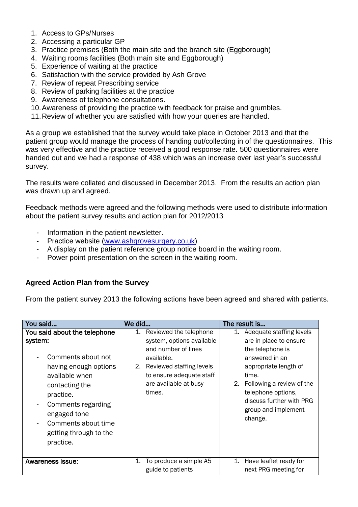- 1. Access to GPs/Nurses
- 2. Accessing a particular GP
- 3. Practice premises (Both the main site and the branch site (Eggborough)
- 4. Waiting rooms facilities (Both main site and Eggborough)
- 5. Experience of waiting at the practice
- 6. Satisfaction with the service provided by Ash Grove
- 7. Review of repeat Prescribing service
- 8. Review of parking facilities at the practice
- 9. Awareness of telephone consultations.
- 10.Awareness of providing the practice with feedback for praise and grumbles.
- 11.Review of whether you are satisfied with how your queries are handled.

As a group we established that the survey would take place in October 2013 and that the patient group would manage the process of handing out/collecting in of the questionnaires. This was very effective and the practice received a good response rate. 500 questionnaires were handed out and we had a response of 438 which was an increase over last year's successful survey.

The results were collated and discussed in December 2013. From the results an action plan was drawn up and agreed.

Feedback methods were agreed and the following methods were used to distribute information about the patient survey results and action plan for 2012/2013

- Information in the patient newsletter.
- Practice website [\(www.ashgrovesurgery.co.uk\)](http://www.ashgrovesurgery.co.uk/)
- A display on the patient reference group notice board in the waiting room.
- Power point presentation on the screen in the waiting room.

# **Agreed Action Plan from the Survey**

From the patient survey 2013 the following actions have been agreed and shared with patients.

| You said                                                                                                                                                                                                                                                      | We did                                                                                                                                                                                          | The result is                                                                                                                                                                                                                                     |  |
|---------------------------------------------------------------------------------------------------------------------------------------------------------------------------------------------------------------------------------------------------------------|-------------------------------------------------------------------------------------------------------------------------------------------------------------------------------------------------|---------------------------------------------------------------------------------------------------------------------------------------------------------------------------------------------------------------------------------------------------|--|
| You said about the telephone<br>system:<br>Comments about not<br>having enough options<br>available when<br>contacting the<br>practice.<br>Comments regarding<br>$\blacksquare$<br>engaged tone<br>Comments about time<br>getting through to the<br>practice. | 1.<br>Reviewed the telephone<br>system, options available<br>and number of lines<br>available.<br>Reviewed staffing levels<br>2.<br>to ensure adequate staff<br>are available at busy<br>times. | 1. Adequate staffing levels<br>are in place to ensure<br>the telephone is<br>answered in an<br>appropriate length of<br>time.<br>2. Following a review of the<br>telephone options,<br>discuss further with PRG<br>group and implement<br>change. |  |
| <b>Awareness issue:</b>                                                                                                                                                                                                                                       | To produce a simple A5<br>1.<br>guide to patients                                                                                                                                               | 1. Have leaflet ready for<br>next PRG meeting for                                                                                                                                                                                                 |  |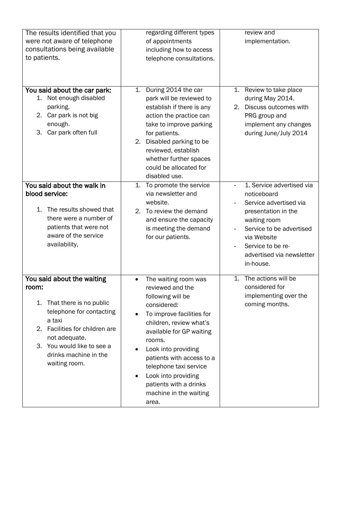| The results identified that you<br>were not aware of telephone<br>consultations being available<br>to patients.                                                                                                                       | regarding different types<br>of appointments<br>including how to access<br>telephone consultations.                                                                                                                                                                                                                                                                    | review and<br>implementation.                                                                                                                                                                                       |
|---------------------------------------------------------------------------------------------------------------------------------------------------------------------------------------------------------------------------------------|------------------------------------------------------------------------------------------------------------------------------------------------------------------------------------------------------------------------------------------------------------------------------------------------------------------------------------------------------------------------|---------------------------------------------------------------------------------------------------------------------------------------------------------------------------------------------------------------------|
| You said about the car park:<br>Not enough disabled<br>1.<br>parking.<br>2. Car park is not big<br>enough.<br>Car park often full<br>3.                                                                                               | 1. During 2014 the car<br>park will be reviewed to<br>establish if there is any<br>action the practice can<br>take to improve parking<br>for patients.<br>2. Disabled parking to be<br>reviewed, establish<br>whether further spaces<br>could be allocated for<br>disabled use.                                                                                        | Review to take place<br>1.<br>during May 2014.<br>2. Discuss outcomes with<br>PRG group and<br>implement any changes<br>during June/July 2014                                                                       |
| You said about the walk in<br>blood service:<br>The results showed that<br>1.<br>there were a number of<br>patients that were not<br>aware of the service<br>availability,                                                            | To promote the service<br>1.<br>via newsletter and<br>website.<br>2. To review the demand<br>and ensure the capacity<br>is meeting the demand<br>for our patients.                                                                                                                                                                                                     | 1. Service advertised via<br>noticeboard<br>Service advertised via<br>presentation in the<br>waiting room<br>Service to be advertised<br>via Website<br>Service to be re-<br>advertised via newsletter<br>in-house. |
| You said about the waiting<br>room:<br>That there is no public<br>1.<br>telephone for contacting<br>a taxi<br>2. Facilities for children are<br>not adequate.<br>3. You would like to see a<br>drinks machine in the<br>waiting room. | The waiting room was<br>$\bullet$<br>reviewed and the<br>following will be<br>considered:<br>To improve facilities for<br>children, review what's<br>available for GP waiting<br>rooms.<br>Look into providing<br>patients with access to a<br>telephone taxi service<br>Look into providing<br>$\bullet$<br>patients with a drinks<br>machine in the waiting<br>area. | The actions will be<br>$\mathbf{1}$ .<br>considered for<br>implementing over the<br>coming months.                                                                                                                  |